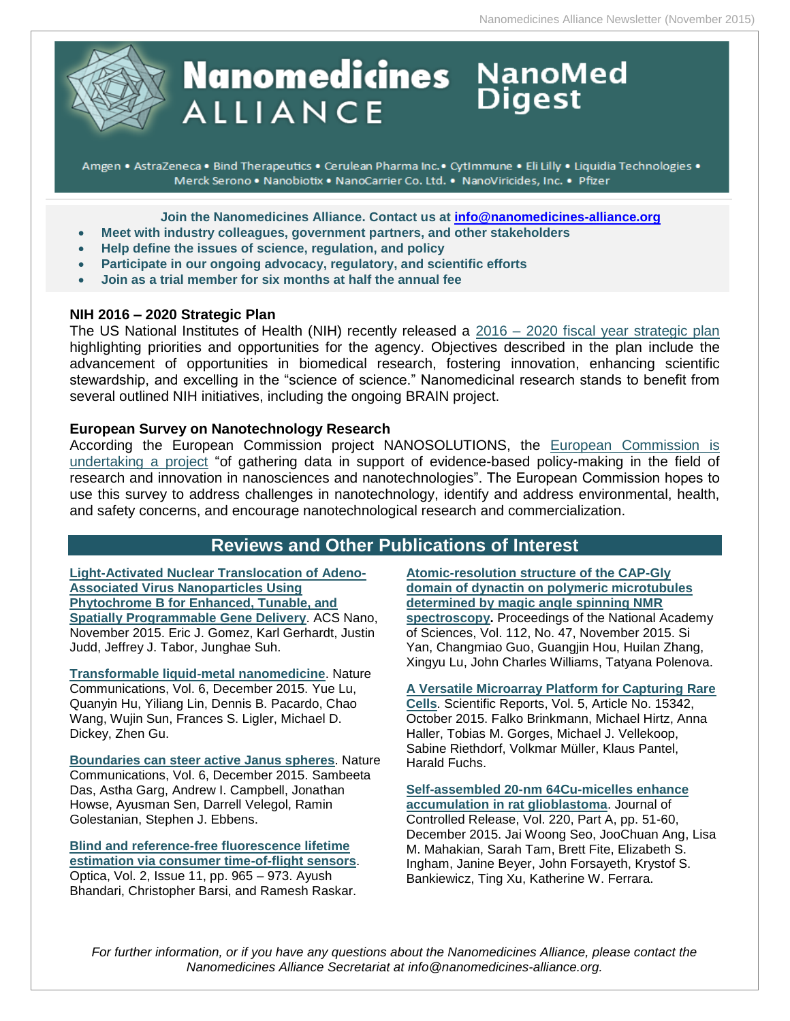

# **Nanomedicines** NanoMed **ALLIANCE**

Amgen • AstraZeneca • Bind Therapeutics • Cerulean Pharma Inc. • CytImmune • Eli Lilly • Liquidia Technologies • Merck Serono . Nanobiotix . NanoCarrier Co. Ltd. . NanoViricides, Inc. . Pfizer

**Join the Nanomedicines Alliance. Contact us at [info@nanomedicines-alliance.org](mailto:info@nanomedicines-alliance.org)**

- **Meet with industry colleagues, government partners, and other stakeholders**
- **Relp define the issues of science, regulation, and policy**
- **Participate in our ongoing advocacy, regulatory, and scientific efforts**
- **Join as a trial member for six months at half the annual fee**

# **NIH 2016 – 2020 Strategic Plan**

The US National Institutes of Health (NIH) recently released a 2016 – [2020 fiscal year strategic plan](http://www.nih.gov/news-events/news-releases/nih-unveils-fy2016-2020-strategic-plan) highlighting priorities and opportunities for the agency. Objectives described in the plan include the advancement of opportunities in biomedical research, fostering innovation, enhancing scientific stewardship, and excelling in the "science of science." Nanomedicinal research stands to benefit from several outlined NIH initiatives, including the ongoing BRAIN project.

### **European Survey on Nanotechnology Research**

According the European Commission project NANOSOLUTIONS, the [European Commission is](http://nanosolutionsfp7.com/nanosolutions-helping-ec-policymaking/)  [undertaking a project](http://nanosolutionsfp7.com/nanosolutions-helping-ec-policymaking/) "of gathering data in support of evidence-based policy-making in the field of research and innovation in nanosciences and nanotechnologies". The European Commission hopes to use this survey to address challenges in nanotechnology, identify and address environmental, health, and safety concerns, and encourage nanotechnological research and commercialization.

# **Reviews and Other Publications of Interest**

**[Light-Activated Nuclear Translocation of Adeno-](http://pubs.acs.org/doi/10.1021/acsnano.5b05558)[Associated Virus Nanoparticles Using](http://pubs.acs.org/doi/10.1021/acsnano.5b05558)  [Phytochrome B for Enhanced, Tunable, and](http://pubs.acs.org/doi/10.1021/acsnano.5b05558)  [Spatially Programmable Gene Delivery](http://pubs.acs.org/doi/10.1021/acsnano.5b05558)**. ACS Nano, November 2015. Eric J. Gomez, Karl Gerhardt, Justin Judd, Jeffrey J. Tabor, Junghae Suh.

**[Transformable liquid-metal nanomedicine](http://www.nature.com/ncomms/2015/151202/ncomms10066/full/ncomms10066.html)**. Nature Communications, Vol. 6, December 2015. Yue Lu, Quanyin Hu, Yiliang Lin, Dennis B. Pacardo, Chao Wang, Wujin Sun, Frances S. Ligler, Michael D. Dickey, Zhen Gu.

**[Boundaries can steer active Janus spheres](http://www.nature.com/ncomms/2015/151202/ncomms9999/full/ncomms9999.html#close)**. Nature Communications, Vol. 6, December 2015. Sambeeta Das, Astha Garg, Andrew I. Campbell, Jonathan Howse, Ayusman Sen, Darrell Velegol, Ramin Golestanian, Stephen J. Ebbens.

**[Blind and reference-free fluorescence lifetime](https://www.osapublishing.org/optica/abstract.cfm?uri=optica-2-11-965)  [estimation via consumer time-of-flight sensors](https://www.osapublishing.org/optica/abstract.cfm?uri=optica-2-11-965)**.

Optica, Vol. 2, Issue 11, pp. 965 – 973. Ayush Bhandari, Christopher Barsi, and Ramesh Raskar. **[Atomic-resolution structure of the CAP-Gly](http://www.pnas.org/content/112/47/14611)  [domain of dynactin on polymeric microtubules](http://www.pnas.org/content/112/47/14611)  [determined by magic angle spinning NMR](http://www.pnas.org/content/112/47/14611)  [spectroscopy.](http://www.pnas.org/content/112/47/14611)** Proceedings of the National Academy of Sciences, Vol. 112, No. 47, November 2015. Si Yan, Changmiao Guo, Guangjin Hou, Huilan Zhang, Xingyu Lu, John Charles Williams, Tatyana Polenova.

**[A Versatile Microarray Platform for Capturing Rare](http://www.nature.com/articles/srep15342)** 

**[Cells](http://www.nature.com/articles/srep15342)**. Scientific Reports, Vol. 5, Article No. 15342, October 2015. Falko Brinkmann, Michael Hirtz, Anna Haller, Tobias M. Gorges, Michael J. Vellekoop, Sabine Riethdorf, Volkmar Müller, Klaus Pantel, Harald Fuchs.

**[Self-assembled 20-nm 64Cu-micelles enhance](http://www.sciencedirect.com/science/article/pii/S0168365915301577)  [accumulation in rat glioblastoma](http://www.sciencedirect.com/science/article/pii/S0168365915301577)**. Journal of Controlled Release, Vol. 220, Part A, pp. 51-60, December 2015. Jai Woong Seo, JooChuan Ang, Lisa M. Mahakian, Sarah Tam, Brett Fite, Elizabeth S. Ingham, Janine Beyer, John Forsayeth, Krystof S. Bankiewicz, Ting Xu, Katherine W. Ferrara.

*For further information, or if you have any questions about the Nanomedicines Alliance, please contact the Nanomedicines Alliance Secretariat at info@nanomedicines-alliance.org.*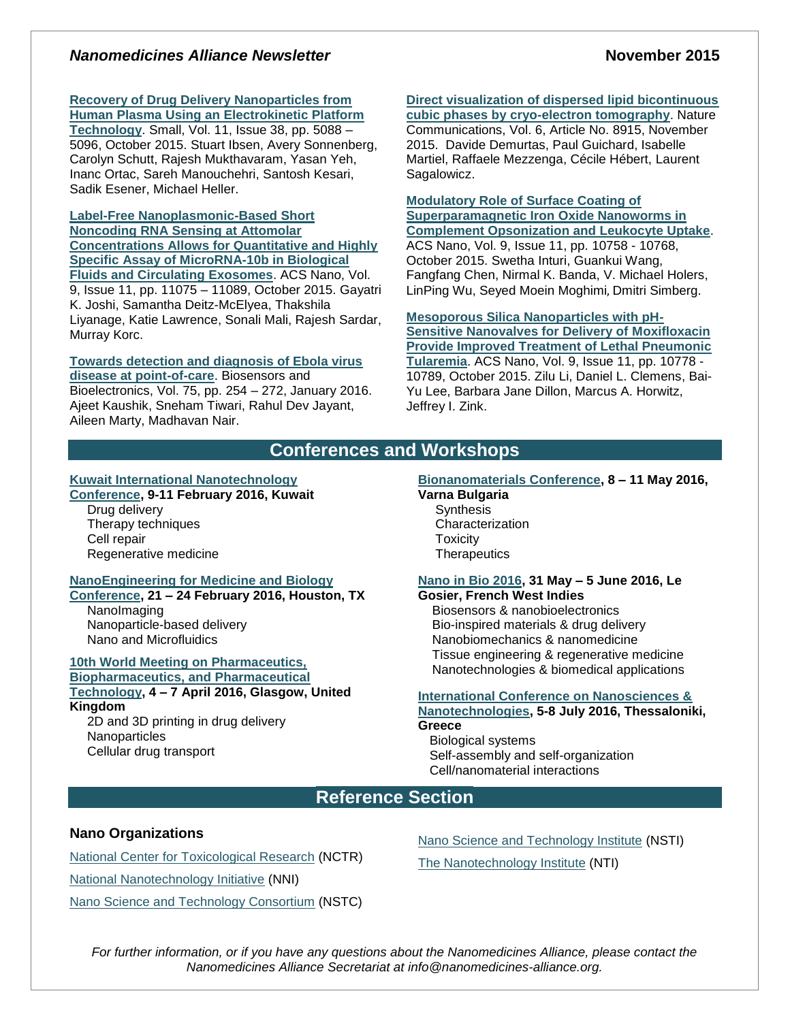# *Nanomedicines Alliance Newsletter* **November 2015**

# **[Recovery of Drug Delivery Nanoparticles from](http://onlinelibrary.wiley.com/doi/10.1002/smll.201500892/abstract)**

**Human Plasma [Using an Electrokinetic Platform](http://onlinelibrary.wiley.com/doi/10.1002/smll.201500892/abstract)  [Technology](http://onlinelibrary.wiley.com/doi/10.1002/smll.201500892/abstract)**. Small, Vol. 11, Issue 38, pp. 5088 – 5096, October 2015. Stuart Ibsen, Avery Sonnenberg, Carolyn Schutt, Rajesh Mukthavaram, Yasan Yeh, Inanc Ortac, Sareh Manouchehri, Santosh Kesari, Sadik Esener, Michael Heller.

**[Label-Free Nanoplasmonic-Based Short](http://pubs.acs.org/doi/10.1021/acsnano.5b04527)  [Noncoding RNA Sensing at Attomolar](http://pubs.acs.org/doi/10.1021/acsnano.5b04527)  [Concentrations Allows for Quantitative and Highly](http://pubs.acs.org/doi/10.1021/acsnano.5b04527)  [Specific Assay of MicroRNA-10b in Biological](http://pubs.acs.org/doi/10.1021/acsnano.5b04527)  [Fluids and Circulating Exosomes](http://pubs.acs.org/doi/10.1021/acsnano.5b04527)**. ACS Nano, Vol. 9, Issue 11, pp. 11075 – 11089, October 2015. Gayatri K. Joshi, Samantha Deitz-McElyea, Thakshila Liyanage, Katie Lawrence, Sonali Mali, Rajesh Sardar, Murray Korc.

#### **[Towards detection and diagnosis of Ebola virus](http://www.sciencedirect.com/science/article/pii/S0956566315303651)  [disease at point-of-care](http://www.sciencedirect.com/science/article/pii/S0956566315303651)**. Biosensors and

Bioelectronics, Vol. 75, pp. 254 – 272, January 2016. Ajeet Kaushik, Sneham Tiwari, Rahul Dev Jayant, Aileen Marty, Madhavan Nair.

# **[Direct visualization of dispersed lipid bicontinuous](http://www.nature.com/ncomms/2015/151117/ncomms9915/full/ncomms9915.html)**

**[cubic phases by cryo-electron tomography](http://www.nature.com/ncomms/2015/151117/ncomms9915/full/ncomms9915.html)**. Nature Communications, Vol. 6, Article No. 8915, November 2015. Davide Demurtas, Paul Guichard, Isabelle Martiel, Raffaele Mezzenga, Cécile Hébert, Laurent Sagalowicz.

#### **[Modulatory Role of Surface Coating of](http://pubs.acs.org/doi/10.1021/acsnano.5b05061)  [Superparamagnetic Iron Oxide Nanoworms in](http://pubs.acs.org/doi/10.1021/acsnano.5b05061)  [Complement Opsonization and Leukocyte Uptake](http://pubs.acs.org/doi/10.1021/acsnano.5b05061)**.

ACS Nano, Vol. 9, Issue 11, pp. 10758 - 10768, October 2015. Swetha Inturi, Guankui Wang, Fangfang Chen, Nirmal K. Banda, V. Michael Holers, LinPing Wu, Seyed Moein Moghimi, Dmitri Simberg.

**[Mesoporous Silica Nanoparticles with pH-](http://pubs.acs.org/doi/10.1021/acsnano.5b04306)[Sensitive Nanovalves for Delivery of Moxifloxacin](http://pubs.acs.org/doi/10.1021/acsnano.5b04306)  [Provide Improved Treatment of Lethal Pneumonic](http://pubs.acs.org/doi/10.1021/acsnano.5b04306)  [Tularemia](http://pubs.acs.org/doi/10.1021/acsnano.5b04306)**. ACS Nano, Vol. 9, Issue 11, pp. 10778 -

10789, October 2015. Zilu Li, Daniel L. Clemens, Bai-Yu Lee, Barbara Jane Dillon, Marcus A. Horwitz, Jeffrey I. Zink.

# **Conferences and Workshops**

#### **[Kuwait International Nanotechnology](http://www.nanotechkw.com/#home)**

# **[Conference,](http://www.nanotechkw.com/#home) 9-11 February 2016, Kuwait**

Drug delivery Therapy techniques Cell repair Regenerative medicine

#### **[NanoEngineering for Medicine and Biology](https://www.asme.org/events/nemb.aspx)**

**[Conference,](https://www.asme.org/events/nemb.aspx) 21 – 24 February 2016, Houston, TX** NanoImaging Nanoparticle-based delivery Nano and Microfluidics

#### **[10th World Meeting on Pharmaceutics,](http://www.worldmeeting.org/home/)  [Biopharmaceutics, and Pharmaceutical](http://www.worldmeeting.org/home/)**

# **[Technology,](http://www.worldmeeting.org/home/) 4 – 7 April 2016, Glasgow, United Kingdom**

2D and 3D printing in drug delivery **Nanoparticles** Cellular drug transport

#### **[Bionanomaterials Conference,](http://www.zingconferences.com/conferences/6th-zing-bionanomaterials-conference/) 8 – 11 May 2016,**

**Varna Bulgaria Synthesis Characterization Toxicity Therapeutics** 

#### **[Nano in Bio 2016,](http://nanoinbio2016.sciencesconf.org/) 31 May – 5 June 2016, Le Gosier, French West Indies**

 Biosensors & nanobioelectronics Bio-inspired materials & drug delivery Nanobiomechanics & nanomedicine Tissue engineering & regenerative medicine Nanotechnologies & biomedical applications

#### **[International Conference on Nanosciences &](http://www.nanotexnology.com/index.php/about-nn16/80-nn-category/130-workshop-3)**

**[Nanotechnologies,](http://www.nanotexnology.com/index.php/about-nn16/80-nn-category/130-workshop-3) 5-8 July 2016, Thessaloniki, Greece**

Biological systems Self-assembly and self-organization Cell/nanomaterial interactions

# **Reference Section**

#### **Nano Organizations**

[National Center for Toxicological Research](http://www.fda.gov/AboutFDA/CentersOffices/NCTR/default.htm) (NCTR) [National Nanotechnology Initiative](http://www.nano.gov/) (NNI) [Nano Science and Technology Consortium](http://www.nstc.in/) (NSTC) [Nano Science and Technology Institute](http://www.nsti.org/) (NSTI)

The [Nanotechnology Institute](http://nanotechinstitute.org/) (NTI)

*For further information, or if you have any questions about the Nanomedicines Alliance, please contact the Nanomedicines Alliance Secretariat at info@nanomedicines-alliance.org.*